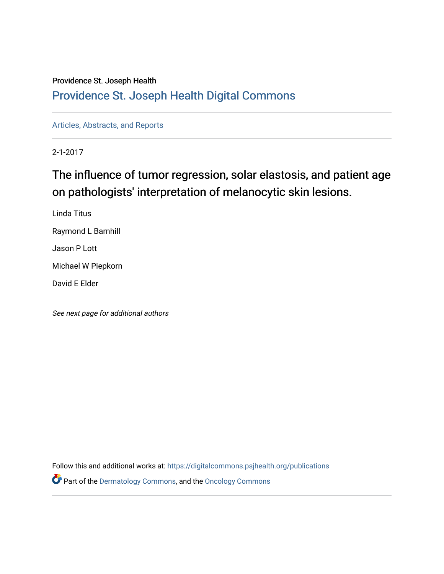# Providence St. Joseph Health

# [Providence St. Joseph Health Digital Commons](https://digitalcommons.psjhealth.org/)

[Articles, Abstracts, and Reports](https://digitalcommons.psjhealth.org/publications) 

2-1-2017

# The influence of tumor regression, solar elastosis, and patient age on pathologists' interpretation of melanocytic skin lesions.

Linda Titus Raymond L Barnhill Jason P Lott Michael W Piepkorn David E Elder

See next page for additional authors

Follow this and additional works at: [https://digitalcommons.psjhealth.org/publications](https://digitalcommons.psjhealth.org/publications?utm_source=digitalcommons.psjhealth.org%2Fpublications%2F2450&utm_medium=PDF&utm_campaign=PDFCoverPages) Part of the [Dermatology Commons,](http://network.bepress.com/hgg/discipline/684?utm_source=digitalcommons.psjhealth.org%2Fpublications%2F2450&utm_medium=PDF&utm_campaign=PDFCoverPages) and the [Oncology Commons](http://network.bepress.com/hgg/discipline/694?utm_source=digitalcommons.psjhealth.org%2Fpublications%2F2450&utm_medium=PDF&utm_campaign=PDFCoverPages)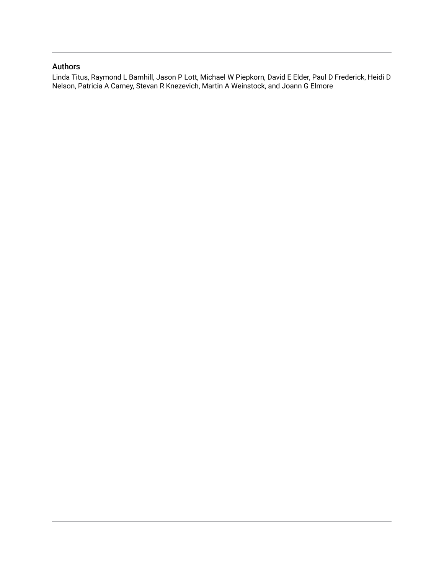# Authors

Linda Titus, Raymond L Barnhill, Jason P Lott, Michael W Piepkorn, David E Elder, Paul D Frederick, Heidi D Nelson, Patricia A Carney, Stevan R Knezevich, Martin A Weinstock, and Joann G Elmore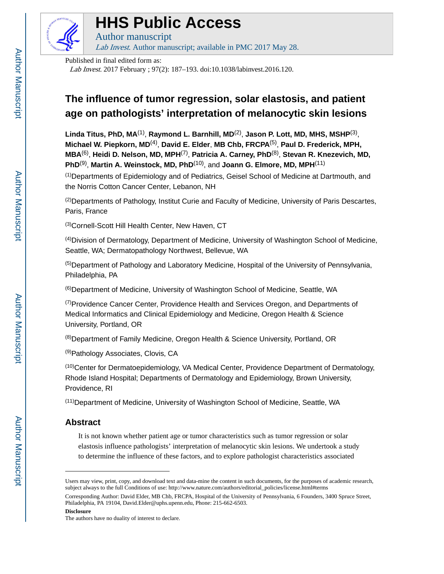

# **HHS Public Access**

Author manuscript Lab Invest. Author manuscript; available in PMC 2017 May 28.

Published in final edited form as:

Lab Invest. 2017 February ; 97(2): 187–193. doi:10.1038/labinvest.2016.120.

# **The influence of tumor regression, solar elastosis, and patient age on pathologists' interpretation of melanocytic skin lesions**

**Linda Titus, PhD, MA**(1) , **Raymond L. Barnhill, MD**(2) , **Jason P. Lott, MD, MHS, MSHP**(3) , **Michael W. Piepkorn, MD**(4) , **David E. Elder**, **MB Chb, FRCPA**(5) , **Paul D. Frederick, MPH, MBA**(6) , **Heidi D. Nelson, MD, MPH**(7) , **Patricia A. Carney, PhD**(8) , **Stevan R. Knezevich, MD, PhD**(9) , **Martin A. Weinstock, MD, PhD**(10), and **Joann G. Elmore, MD, MPH**(11)

(1)Departments of Epidemiology and of Pediatrics, Geisel School of Medicine at Dartmouth, and the Norris Cotton Cancer Center, Lebanon, NH

 $^{(2)}$ Departments of Pathology, Institut Curie and Faculty of Medicine, University of Paris Descartes, Paris, France

(3)Cornell-Scott Hill Health Center, New Haven, CT

(4)Division of Dermatology, Department of Medicine, University of Washington School of Medicine, Seattle, WA; Dermatopathology Northwest, Bellevue, WA

(5)Department of Pathology and Laboratory Medicine, Hospital of the University of Pennsylvania, Philadelphia, PA

(6)Department of Medicine, University of Washington School of Medicine, Seattle, WA

 $(7)$ Providence Cancer Center, Providence Health and Services Oregon, and Departments of Medical Informatics and Clinical Epidemiology and Medicine, Oregon Health & Science University, Portland, OR

(8)Department of Family Medicine, Oregon Health & Science University, Portland, OR

(9)Pathology Associates, Clovis, CA

(10)Center for Dermatoepidemiology, VA Medical Center, Providence Department of Dermatology, Rhode Island Hospital; Departments of Dermatology and Epidemiology, Brown University, Providence, RI

(11)Department of Medicine, University of Washington School of Medicine, Seattle, WA

# **Abstract**

It is not known whether patient age or tumor characteristics such as tumor regression or solar elastosis influence pathologists' interpretation of melanocytic skin lesions. We undertook a study to determine the influence of these factors, and to explore pathologist characteristics associated

**Disclosure**

Users may view, print, copy, and download text and data-mine the content in such documents, for the purposes of academic research, subject always to the full Conditions of use: http://www.nature.com/authors/editorial\_policies/license.html#terms

Corresponding Author: David Elder, MB Chb, FRCPA, Hospital of the University of Pennsylvania, 6 Founders, 3400 Spruce Street, Philadelphia, PA 19104, David.Elder@uphs.upenn.edu, Phone: 215-662-6503.

The authors have no duality of interest to declare.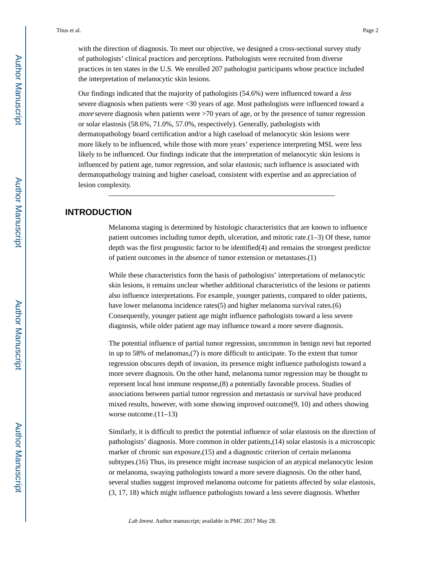with the direction of diagnosis. To meet our objective, we designed a cross-sectional survey study of pathologists' clinical practices and perceptions. Pathologists were recruited from diverse practices in ten states in the U.S. We enrolled 207 pathologist participants whose practice included the interpretation of melanocytic skin lesions.

Our findings indicated that the majority of pathologists (54.6%) were influenced toward a *less* severe diagnosis when patients were <30 years of age. Most pathologists were influenced toward a *more* severe diagnosis when patients were  $>70$  years of age, or by the presence of tumor regression or solar elastosis (58.6%, 71.0%, 57.0%, respectively). Generally, pathologists with dermatopathology board certification and/or a high caseload of melanocytic skin lesions were more likely to be influenced, while those with more years' experience interpreting MSL were less likely to be influenced. Our findings indicate that the interpretation of melanocytic skin lesions is influenced by patient age, tumor regression, and solar elastosis; such influence is associated with dermatopathology training and higher caseload, consistent with expertise and an appreciation of lesion complexity.

# **INTRODUCTION**

Melanoma staging is determined by histologic characteristics that are known to influence patient outcomes including tumor depth, ulceration, and mitotic rate. $(1-3)$  Of these, tumor depth was the first prognostic factor to be identified(4) and remains the strongest predictor of patient outcomes in the absence of tumor extension or metastases.(1)

While these characteristics form the basis of pathologists' interpretations of melanocytic skin lesions, it remains unclear whether additional characteristics of the lesions or patients also influence interpretations. For example, younger patients, compared to older patients, have lower melanoma incidence rates(5) and higher melanoma survival rates.(6) Consequently, younger patient age might influence pathologists toward a less severe diagnosis, while older patient age may influence toward a more severe diagnosis.

The potential influence of partial tumor regression, uncommon in benign nevi but reported in up to 58% of melanomas,(7) is more difficult to anticipate. To the extent that tumor regression obscures depth of invasion, its presence might influence pathologists toward a more severe diagnosis. On the other hand, melanoma tumor regression may be thought to represent local host immune response,(8) a potentially favorable process. Studies of associations between partial tumor regression and metastasis or survival have produced mixed results, however, with some showing improved outcome(9, 10) and others showing worse outcome.  $(11-13)$ 

Similarly, it is difficult to predict the potential influence of solar elastosis on the direction of pathologists' diagnosis. More common in older patients,(14) solar elastosis is a microscopic marker of chronic sun exposure,(15) and a diagnostic criterion of certain melanoma subtypes.(16) Thus, its presence might increase suspicion of an atypical melanocytic lesion or melanoma, swaying pathologists toward a more severe diagnosis. On the other hand, several studies suggest improved melanoma outcome for patients affected by solar elastosis, (3, 17, 18) which might influence pathologists toward a less severe diagnosis. Whether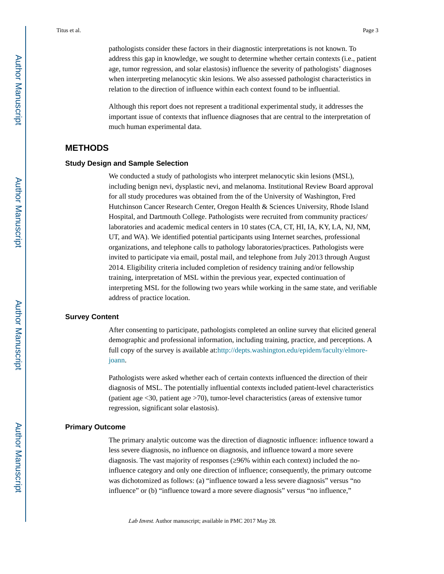pathologists consider these factors in their diagnostic interpretations is not known. To address this gap in knowledge, we sought to determine whether certain contexts (i.e., patient age, tumor regression, and solar elastosis) influence the severity of pathologists' diagnoses when interpreting melanocytic skin lesions. We also assessed pathologist characteristics in relation to the direction of influence within each context found to be influential.

Although this report does not represent a traditional experimental study, it addresses the important issue of contexts that influence diagnoses that are central to the interpretation of much human experimental data.

# **METHODS**

#### **Study Design and Sample Selection**

We conducted a study of pathologists who interpret melanocytic skin lesions (MSL), including benign nevi, dysplastic nevi, and melanoma. Institutional Review Board approval for all study procedures was obtained from the of the University of Washington, Fred Hutchinson Cancer Research Center, Oregon Health & Sciences University, Rhode Island Hospital, and Dartmouth College. Pathologists were recruited from community practices/ laboratories and academic medical centers in 10 states (CA, CT, HI, IA, KY, LA, NJ, NM, UT, and WA). We identified potential participants using Internet searches, professional organizations, and telephone calls to pathology laboratories/practices. Pathologists were invited to participate via email, postal mail, and telephone from July 2013 through August 2014. Eligibility criteria included completion of residency training and/or fellowship training, interpretation of MSL within the previous year, expected continuation of interpreting MSL for the following two years while working in the same state, and verifiable address of practice location.

#### **Survey Content**

After consenting to participate, pathologists completed an online survey that elicited general demographic and professional information, including training, practice, and perceptions. A full copy of the survey is available at:[http://depts.washington.edu/epidem/faculty/elmore](http://depts.washington.edu/epidem/faculty/elmore-joann)[joann](http://depts.washington.edu/epidem/faculty/elmore-joann).

Pathologists were asked whether each of certain contexts influenced the direction of their diagnosis of MSL. The potentially influential contexts included patient-level characteristics (patient age <30, patient age >70), tumor-level characteristics (areas of extensive tumor regression, significant solar elastosis).

#### **Primary Outcome**

The primary analytic outcome was the direction of diagnostic influence: influence toward a less severe diagnosis, no influence on diagnosis, and influence toward a more severe diagnosis. The vast majority of responses (≥96% within each context) included the noinfluence category and only one direction of influence; consequently, the primary outcome was dichotomized as follows: (a) "influence toward a less severe diagnosis" versus "no influence" or (b) "influence toward a more severe diagnosis" versus "no influence,"

Lab Invest. Author manuscript; available in PMC 2017 May 28.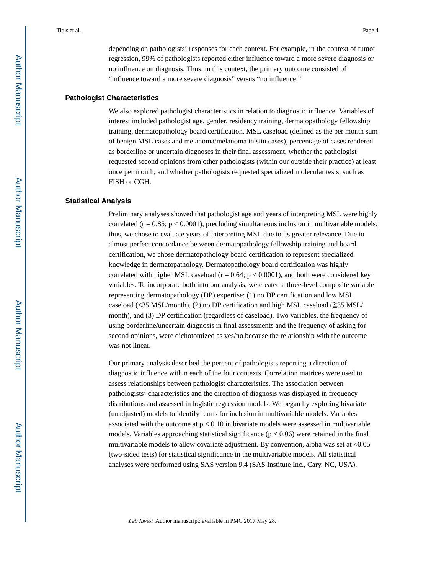depending on pathologists' responses for each context. For example, in the context of tumor regression, 99% of pathologists reported either influence toward a more severe diagnosis or no influence on diagnosis. Thus, in this context, the primary outcome consisted of "influence toward a more severe diagnosis" versus "no influence."

## **Pathologist Characteristics**

We also explored pathologist characteristics in relation to diagnostic influence. Variables of interest included pathologist age, gender, residency training, dermatopathology fellowship training, dermatopathology board certification, MSL caseload (defined as the per month sum of benign MSL cases and melanoma/melanoma in situ cases), percentage of cases rendered as borderline or uncertain diagnoses in their final assessment, whether the pathologist requested second opinions from other pathologists (within our outside their practice) at least once per month, and whether pathologists requested specialized molecular tests, such as FISH or CGH.

#### **Statistical Analysis**

Preliminary analyses showed that pathologist age and years of interpreting MSL were highly correlated ( $r = 0.85$ ;  $p < 0.0001$ ), precluding simultaneous inclusion in multivariable models; thus, we chose to evaluate years of interpreting MSL due to its greater relevance. Due to almost perfect concordance between dermatopathology fellowship training and board certification, we chose dermatopathology board certification to represent specialized knowledge in dermatopathology. Dermatopathology board certification was highly correlated with higher MSL caseload ( $r = 0.64$ ;  $p < 0.0001$ ), and both were considered key variables. To incorporate both into our analysis, we created a three-level composite variable representing dermatopathology (DP) expertise: (1) no DP certification and low MSL caseload (<35 MSL/month), (2) no DP certification and high MSL caseload ( $\geq$ 35 MSL/ month), and (3) DP certification (regardless of caseload). Two variables, the frequency of using borderline/uncertain diagnosis in final assessments and the frequency of asking for second opinions, were dichotomized as yes/no because the relationship with the outcome was not linear.

Our primary analysis described the percent of pathologists reporting a direction of diagnostic influence within each of the four contexts. Correlation matrices were used to assess relationships between pathologist characteristics. The association between pathologists' characteristics and the direction of diagnosis was displayed in frequency distributions and assessed in logistic regression models. We began by exploring bivariate (unadjusted) models to identify terms for inclusion in multivariable models. Variables associated with the outcome at  $p < 0.10$  in bivariate models were assessed in multivariable models. Variables approaching statistical significance ( $p < 0.06$ ) were retained in the final multivariable models to allow covariate adjustment. By convention, alpha was set at  $\langle 0.05 \rangle$ (two-sided tests) for statistical significance in the multivariable models. All statistical analyses were performed using SAS version 9.4 (SAS Institute Inc., Cary, NC, USA).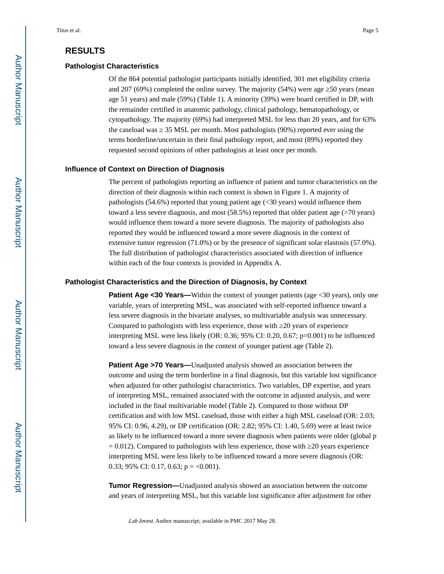# **RESULTS**

#### **Pathologist Characteristics**

Of the 864 potential pathologist participants initially identified, 301 met eligibility criteria and  $207 (69%)$  completed the online survey. The majority  $(54%)$  were age  $\overline{50}$  years (mean age 51 years) and male (59%) (Table 1). A minority (39%) were board certified in DP, with the remainder certified in anatomic pathology, clinical pathology, hematopathology, or cytopathology. The majority (69%) had interpreted MSL for less than 20 years, and for 63% the caseload was ≥ 35 MSL per month. Most pathologists (90%) reported ever using the terms borderline/uncertain in their final pathology report, and most (89%) reported they requested second opinions of other pathologists at least once per month.

## **Influence of Context on Direction of Diagnosis**

The percent of pathologists reporting an influence of patient and tumor characteristics on the direction of their diagnosis within each context is shown in Figure 1. A majority of pathologists  $(54.6%)$  reported that young patient age  $( $30$  years) would influence them$ toward a less severe diagnosis, and most (58.5%) reported that older patient age (>70 years) would influence them toward a more severe diagnosis. The majority of pathologists also reported they would be influenced toward a more severe diagnosis in the context of extensive tumor regression (71.0%) or by the presence of significant solar elastosis (57.0%). The full distribution of pathologist characteristics associated with direction of influence within each of the four contexts is provided in Appendix A.

#### **Pathologist Characteristics and the Direction of Diagnosis, by Context**

**Patient Age <30 Years—Within the context of younger patients (age <30 years), only one** variable, years of interpreting MSL, was associated with self-reported influence toward a less severe diagnosis in the bivariate analyses, so multivariable analysis was unnecessary. Compared to pathologists with less experience, those with ≥20 years of experience interpreting MSL were less likely (OR: 0.36; 95% CI: 0.20, 0.67; p=0.001) to be influenced toward a less severe diagnosis in the context of younger patient age (Table 2).

**Patient Age >70 Years—**Unadjusted analysis showed an association between the outcome and using the term borderline in a final diagnosis, but this variable lost significance when adjusted for other pathologist characteristics. Two variables, DP expertise, and years of interpreting MSL, remained associated with the outcome in adjusted analysis, and were included in the final multivariable model (Table 2). Compared to those without DP certification and with low MSL caseload, those with either a high MSL caseload (OR: 2.03; 95% CI: 0.96, 4.29), or DP certification (OR: 2.82; 95% CI: 1.40, 5.69) were at least twice as likely to be influenced toward a more severe diagnosis when patients were older (global p  $= 0.012$ ). Compared to pathologists with less experience, those with 20 years experience interpreting MSL were less likely to be influenced toward a more severe diagnosis (OR: 0.33; 95% CI: 0.17, 0.63;  $p = <0.001$ ).

**Tumor Regression—**Unadjusted analysis showed an association between the outcome and years of interpreting MSL, but this variable lost significance after adjustment for other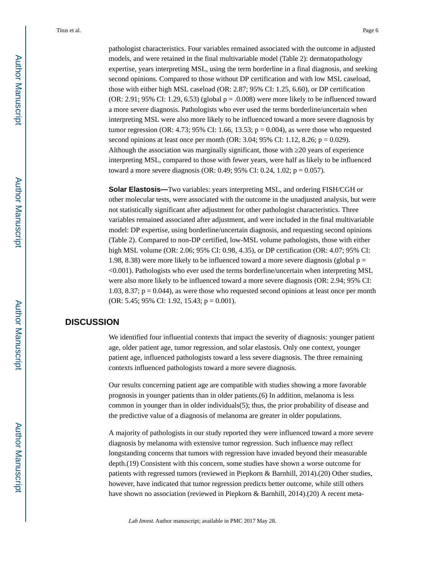pathologist characteristics. Four variables remained associated with the outcome in adjusted models, and were retained in the final multivariable model (Table 2): dermatopathology expertise, years interpreting MSL, using the term borderline in a final diagnosis, and seeking second opinions. Compared to those without DP certification and with low MSL caseload, those with either high MSL caseload (OR: 2.87; 95% CI: 1.25, 6.60), or DP certification (OR: 2.91; 95% CI: 1.29, 6.53) (global  $p = 0.008$ ) were more likely to be influenced toward a more severe diagnosis. Pathologists who ever used the terms borderline/uncertain when interpreting MSL were also more likely to be influenced toward a more severe diagnosis by tumor regression (OR: 4.73; 95% CI: 1.66, 13.53;  $p = 0.004$ ), as were those who requested second opinions at least once per month (OR: 3.04; 95% CI: 1.12, 8.26;  $p = 0.029$ ). Although the association was marginally significant, those with ≥20 years of experience interpreting MSL, compared to those with fewer years, were half as likely to be influenced toward a more severe diagnosis (OR: 0.49; 95% CI: 0.24, 1.02; p = 0.057).

**Solar Elastosis—**Two variables: years interpreting MSL, and ordering FISH/CGH or other molecular tests, were associated with the outcome in the unadjusted analysis, but were not statistically significant after adjustment for other pathologist characteristics. Three variables remained associated after adjustment, and were included in the final multivariable model: DP expertise, using borderline/uncertain diagnosis, and requesting second opinions (Table 2). Compared to non-DP certified, low-MSL volume pathologists, those with either high MSL volume (OR: 2.06; 95% CI: 0.98, 4.35), or DP certification (OR: 4.07; 95% CI: 1.98, 8.38) were more likely to be influenced toward a more severe diagnosis (global  $p =$ <0.001). Pathologists who ever used the terms borderline/uncertain when interpreting MSL were also more likely to be influenced toward a more severe diagnosis (OR: 2.94; 95% CI: 1.03, 8.37;  $p = 0.044$ ), as were those who requested second opinions at least once per month (OR: 5.45; 95% CI: 1.92, 15.43;  $p = 0.001$ ).

# **DISCUSSION**

We identified four influential contexts that impact the severity of diagnosis: younger patient age, older patient age, tumor regression, and solar elastosis. Only one context, younger patient age, influenced pathologists toward a less severe diagnosis. The three remaining contexts influenced pathologists toward a more severe diagnosis.

Our results concerning patient age are compatible with studies showing a more favorable prognosis in younger patients than in older patients.(6) In addition, melanoma is less common in younger than in older individuals(5); thus, the prior probability of disease and the predictive value of a diagnosis of melanoma are greater in older populations.

A majority of pathologists in our study reported they were influenced toward a more severe diagnosis by melanoma with extensive tumor regression. Such influence may reflect longstanding concerns that tumors with regression have invaded beyond their measurable depth.(19) Consistent with this concern, some studies have shown a worse outcome for patients with regressed tumors (reviewed in Piepkorn & Barnhill, 2014).(20) Other studies, however, have indicated that tumor regression predicts better outcome, while still others have shown no association (reviewed in Piepkorn & Barnhill, 2014).(20) A recent meta-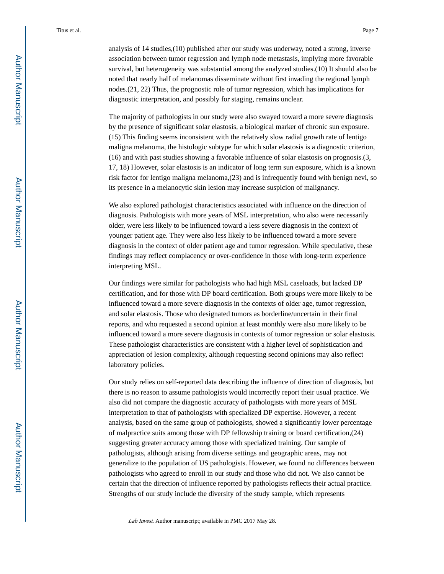analysis of 14 studies,(10) published after our study was underway, noted a strong, inverse association between tumor regression and lymph node metastasis, implying more favorable survival, but heterogeneity was substantial among the analyzed studies.(10) It should also be noted that nearly half of melanomas disseminate without first invading the regional lymph nodes.(21, 22) Thus, the prognostic role of tumor regression, which has implications for diagnostic interpretation, and possibly for staging, remains unclear.

The majority of pathologists in our study were also swayed toward a more severe diagnosis by the presence of significant solar elastosis, a biological marker of chronic sun exposure. (15) This finding seems inconsistent with the relatively slow radial growth rate of lentigo maligna melanoma, the histologic subtype for which solar elastosis is a diagnostic criterion, (16) and with past studies showing a favorable influence of solar elastosis on prognosis.(3, 17, 18) However, solar elastosis is an indicator of long term sun exposure, which is a known risk factor for lentigo maligna melanoma,(23) and is infrequently found with benign nevi, so its presence in a melanocytic skin lesion may increase suspicion of malignancy.

We also explored pathologist characteristics associated with influence on the direction of diagnosis. Pathologists with more years of MSL interpretation, who also were necessarily older, were less likely to be influenced toward a less severe diagnosis in the context of younger patient age. They were also less likely to be influenced toward a more severe diagnosis in the context of older patient age and tumor regression. While speculative, these findings may reflect complacency or over-confidence in those with long-term experience interpreting MSL.

Our findings were similar for pathologists who had high MSL caseloads, but lacked DP certification, and for those with DP board certification. Both groups were more likely to be influenced toward a more severe diagnosis in the contexts of older age, tumor regression, and solar elastosis. Those who designated tumors as borderline/uncertain in their final reports, and who requested a second opinion at least monthly were also more likely to be influenced toward a more severe diagnosis in contexts of tumor regression or solar elastosis. These pathologist characteristics are consistent with a higher level of sophistication and appreciation of lesion complexity, although requesting second opinions may also reflect laboratory policies.

Our study relies on self-reported data describing the influence of direction of diagnosis, but there is no reason to assume pathologists would incorrectly report their usual practice. We also did not compare the diagnostic accuracy of pathologists with more years of MSL interpretation to that of pathologists with specialized DP expertise. However, a recent analysis, based on the same group of pathologists, showed a significantly lower percentage of malpractice suits among those with DP fellowship training or board certification,(24) suggesting greater accuracy among those with specialized training. Our sample of pathologists, although arising from diverse settings and geographic areas, may not generalize to the population of US pathologists. However, we found no differences between pathologists who agreed to enroll in our study and those who did not. We also cannot be certain that the direction of influence reported by pathologists reflects their actual practice. Strengths of our study include the diversity of the study sample, which represents

Lab Invest. Author manuscript; available in PMC 2017 May 28.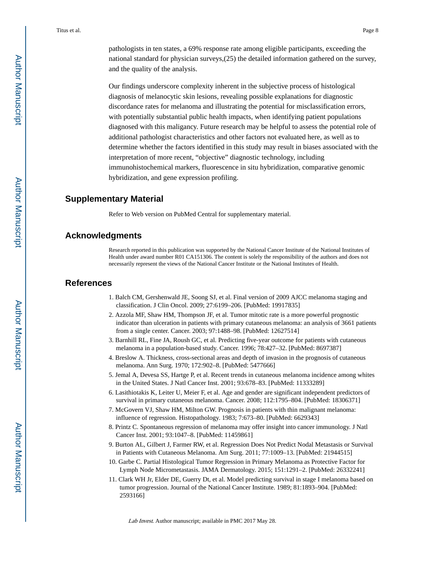pathologists in ten states, a 69% response rate among eligible participants, exceeding the national standard for physician surveys,(25) the detailed information gathered on the survey, and the quality of the analysis.

Our findings underscore complexity inherent in the subjective process of histological diagnosis of melanocytic skin lesions, revealing possible explanations for diagnostic discordance rates for melanoma and illustrating the potential for misclassification errors, with potentially substantial public health impacts, when identifying patient populations diagnosed with this maligancy. Future research may be helpful to assess the potential role of additional pathologist characteristics and other factors not evaluated here, as well as to determine whether the factors identified in this study may result in biases associated with the interpretation of more recent, "objective" diagnostic technology, including immunohistochemical markers, fluorescence in situ hybridization, comparative genomic hybridization, and gene expression profiling.

## **Supplementary Material**

Refer to Web version on PubMed Central for supplementary material.

## **Acknowledgments**

Research reported in this publication was supported by the National Cancer Institute of the National Institutes of Health under award number R01 CA151306. The content is solely the responsibility of the authors and does not necessarily represent the views of the National Cancer Institute or the National Institutes of Health.

## **References**

- 1. Balch CM, Gershenwald JE, Soong SJ, et al. Final version of 2009 AJCC melanoma staging and classification. J Clin Oncol. 2009; 27:6199–206. [PubMed: 19917835]
- 2. Azzola MF, Shaw HM, Thompson JF, et al. Tumor mitotic rate is a more powerful prognostic indicator than ulceration in patients with primary cutaneous melanoma: an analysis of 3661 patients from a single center. Cancer. 2003; 97:1488–98. [PubMed: 12627514]
- 3. Barnhill RL, Fine JA, Roush GC, et al. Predicting five-year outcome for patients with cutaneous melanoma in a population-based study. Cancer. 1996; 78:427–32. [PubMed: 8697387]
- 4. Breslow A. Thickness, cross-sectional areas and depth of invasion in the prognosis of cutaneous melanoma. Ann Surg. 1970; 172:902–8. [PubMed: 5477666]
- 5. Jemal A, Devesa SS, Hartge P, et al. Recent trends in cutaneous melanoma incidence among whites in the United States. J Natl Cancer Inst. 2001; 93:678–83. [PubMed: 11333289]
- 6. Lasithiotakis K, Leiter U, Meier F, et al. Age and gender are significant independent predictors of survival in primary cutaneous melanoma. Cancer. 2008; 112:1795–804. [PubMed: 18306371]
- 7. McGovern VJ, Shaw HM, Milton GW. Prognosis in patients with thin malignant melanoma: influence of regression. Histopathology. 1983; 7:673–80. [PubMed: 6629343]
- 8. Printz C. Spontaneous regression of melanoma may offer insight into cancer immunology. J Natl Cancer Inst. 2001; 93:1047–8. [PubMed: 11459861]
- 9. Burton AL, Gilbert J, Farmer RW, et al. Regression Does Not Predict Nodal Metastasis or Survival in Patients with Cutaneous Melanoma. Am Surg. 2011; 77:1009–13. [PubMed: 21944515]
- 10. Garbe C. Partial Histological Tumor Regression in Primary Melanoma as Protective Factor for Lymph Node Micrometastasis. JAMA Dermatology. 2015; 151:1291–2. [PubMed: 26332241]
- 11. Clark WH Jr, Elder DE, Guerry Dt, et al. Model predicting survival in stage I melanoma based on tumor progression. Journal of the National Cancer Institute. 1989; 81:1893–904. [PubMed: 2593166]

Lab Invest. Author manuscript; available in PMC 2017 May 28.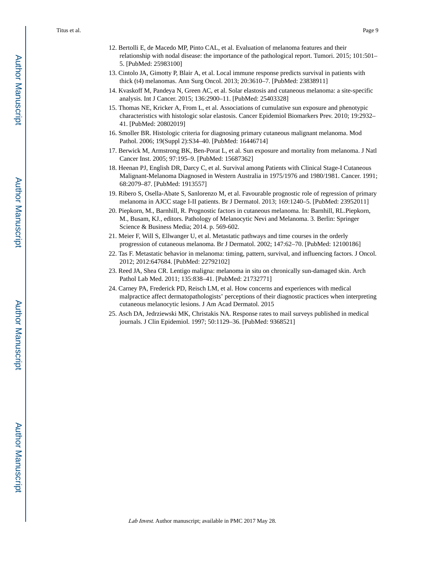- 12. Bertolli E, de Macedo MP, Pinto CAL, et al. Evaluation of melanoma features and their relationship with nodal disease: the importance of the pathological report. Tumori. 2015; 101:501– 5. [PubMed: 25983100]
- 13. Cintolo JA, Gimotty P, Blair A, et al. Local immune response predicts survival in patients with thick (t4) melanomas. Ann Surg Oncol. 2013; 20:3610–7. [PubMed: 23838911]
- 14. Kvaskoff M, Pandeya N, Green AC, et al. Solar elastosis and cutaneous melanoma: a site-specific analysis. Int J Cancer. 2015; 136:2900–11. [PubMed: 25403328]
- 15. Thomas NE, Kricker A, From L, et al. Associations of cumulative sun exposure and phenotypic characteristics with histologic solar elastosis. Cancer Epidemiol Biomarkers Prev. 2010; 19:2932– 41. [PubMed: 20802019]
- 16. Smoller BR. Histologic criteria for diagnosing primary cutaneous malignant melanoma. Mod Pathol. 2006; 19(Suppl 2):S34–40. [PubMed: 16446714]
- 17. Berwick M, Armstrong BK, Ben-Porat L, et al. Sun exposure and mortality from melanoma. J Natl Cancer Inst. 2005; 97:195–9. [PubMed: 15687362]
- 18. Heenan PJ, English DR, Darcy C, et al. Survival among Patients with Clinical Stage-I Cutaneous Malignant-Melanoma Diagnosed in Western Australia in 1975/1976 and 1980/1981. Cancer. 1991; 68:2079–87. [PubMed: 1913557]
- 19. Ribero S, Osella-Abate S, Sanlorenzo M, et al. Favourable prognostic role of regression of primary melanoma in AJCC stage I-II patients. Br J Dermatol. 2013; 169:1240–5. [PubMed: 23952011]
- 20. Piepkorn, M., Barnhill, R. Prognostic factors in cutaneous melanoma. In: Barnhill, RL.Piepkorn, M., Busam, KJ., editors. Pathology of Melanocytic Nevi and Melanoma. 3. Berlin: Springer Science & Business Media; 2014. p. 569-602.
- 21. Meier F, Will S, Ellwanger U, et al. Metastatic pathways and time courses in the orderly progression of cutaneous melanoma. Br J Dermatol. 2002; 147:62–70. [PubMed: 12100186]
- 22. Tas F. Metastatic behavior in melanoma: timing, pattern, survival, and influencing factors. J Oncol. 2012; 2012:647684. [PubMed: 22792102]
- 23. Reed JA, Shea CR. Lentigo maligna: melanoma in situ on chronically sun-damaged skin. Arch Pathol Lab Med. 2011; 135:838–41. [PubMed: 21732771]
- 24. Carney PA, Frederick PD, Reisch LM, et al. How concerns and experiences with medical malpractice affect dermatopathologists' perceptions of their diagnostic practices when interpreting cutaneous melanocytic lesions. J Am Acad Dermatol. 2015
- 25. Asch DA, Jedrziewski MK, Christakis NA. Response rates to mail surveys published in medical journals. J Clin Epidemiol. 1997; 50:1129–36. [PubMed: 9368521]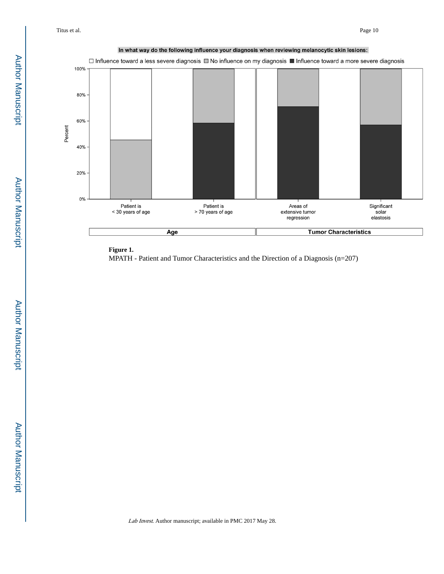



MPATH - Patient and Tumor Characteristics and the Direction of a Diagnosis (n=207)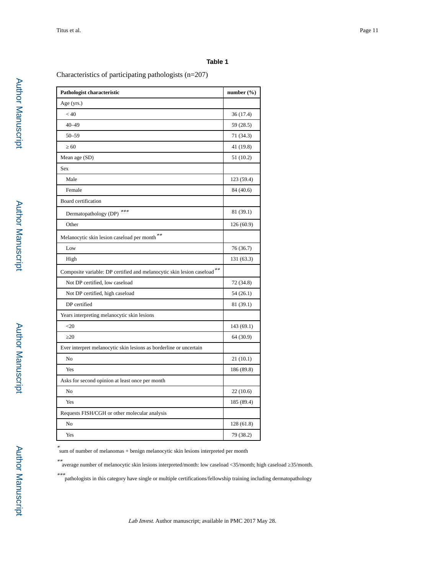#### **Table 1**

Characteristics of participating pathologists (n=207)

| Pathologist characteristic                                              | number $(\% )$ |
|-------------------------------------------------------------------------|----------------|
| Age (yrs.)                                                              |                |
| < 40                                                                    | 36 (17.4)      |
| $40 - 49$                                                               | 59 (28.5)      |
| $50 - 59$                                                               | 71 (34.3)      |
| 60                                                                      | 41 (19.8)      |
| Mean age (SD)                                                           | 51 (10.2)      |
| Sex                                                                     |                |
| Male                                                                    | 123 (59.4)     |
| Female                                                                  | 84 (40.6)      |
| Board certification                                                     |                |
| Dermatopathology (DP) ***                                               | 81 (39.1)      |
| Other                                                                   | 126 (60.9)     |
| Melanocytic skin lesion caseload per month **                           |                |
| Low                                                                     | 76 (36.7)      |
| High                                                                    | 131 (63.3)     |
| Composite variable: DP certified and melanocytic skin lesion caseload** |                |
| Not DP certified, low caseload                                          | 72 (34.8)      |
| Not DP certified, high caseload                                         | 54(26.1)       |
| DP certified                                                            | 81 (39.1)      |
| Years interpreting melanocytic skin lesions                             |                |
| $\leq$ 20                                                               | 143 (69.1)     |
| 20                                                                      | 64 (30.9)      |
| Ever interpret melanocytic skin lesions as borderline or uncertain      |                |
| No                                                                      | 21(10.1)       |
| Yes                                                                     | 186 (89.8)     |
| Asks for second opinion at least once per month                         |                |
| No                                                                      | 22(10.6)       |
| Yes                                                                     | 185 (89.4)     |
| Requests FISH/CGH or other molecular analysis                           |                |
| No                                                                      | 128 (61.8)     |
| Yes                                                                     | 79 (38.2)      |

\* sum of number of melanomas + benign melanocytic skin lesions interpreted per month

\*\*

average number of melanocytic skin lesions interpreted/month: low caseload <35/month; high caseload ≥35/month.

\*\*\*pathologists in this category have single or multiple certifications/fellowship training including dermatopathology